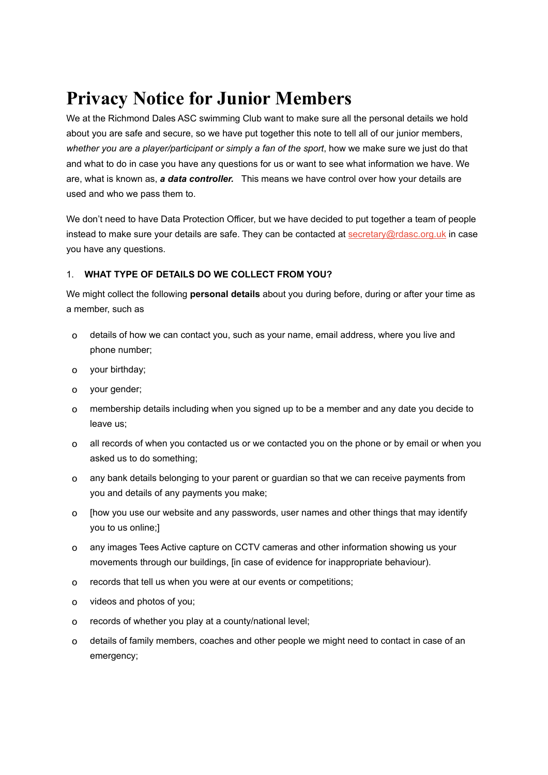# **Privacy Notice for Junior Members**

We at the Richmond Dales ASC swimming Club want to make sure all the personal details we hold about you are safe and secure, so we have put together this note to tell all of our junior members, *whether you are a player/participant or simply a fan of the sport*, how we make sure we just do that and what to do in case you have any questions for us or want to see what information we have. We are, what is known as, *a data controller.* This means we have control over how your details are used and who we pass them to.

We don't need to have Data Protection Officer, but we have decided to put together a team of people instead to make sure your details are safe. They can be contacted at  $\frac{\text{secretary@rdasc.org.uk}}{\text{orgauc.org}}$  in case you have any questions.

# 1. **WHAT TYPE OF DETAILS DO WE COLLECT FROM YOU?**

We might collect the following **personal details** about you during before, during or after your time as a member, such as

- o details of how we can contact you, such as your name, email address, where you live and phone number;
- o your birthday;
- o your gender;
- o membership details including when you signed up to be a member and any date you decide to leave us;
- o all records of when you contacted us or we contacted you on the phone or by email or when you asked us to do something;
- o any bank details belonging to your parent or guardian so that we can receive payments from you and details of any payments you make;
- o [how you use our website and any passwords, user names and other things that may identify you to us online;]
- o any images Tees Active capture on CCTV cameras and other information showing us your movements through our buildings, [in case of evidence for inappropriate behaviour).
- o records that tell us when you were at our events or competitions;
- o videos and photos of you;
- o records of whether you play at a county/national level;
- o details of family members, coaches and other people we might need to contact in case of an emergency;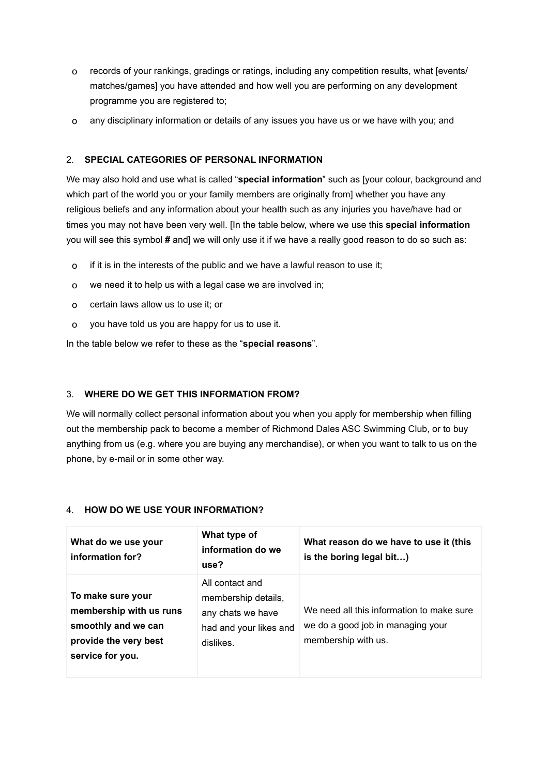- o records of your rankings, gradings or ratings, including any competition results, what [events/ matches/games] you have attended and how well you are performing on any development programme you are registered to;
- o any disciplinary information or details of any issues you have us or we have with you; and

## 2. **SPECIAL CATEGORIES OF PERSONAL INFORMATION**

We may also hold and use what is called "**special information**" such as [your colour, background and which part of the world you or your family members are originally from] whether you have any religious beliefs and any information about your health such as any injuries you have/have had or times you may not have been very well. [In the table below, where we use this **special information** you will see this symbol **#** and] we will only use it if we have a really good reason to do so such as:

- o if it is in the interests of the public and we have a lawful reason to use it;
- o we need it to help us with a legal case we are involved in;
- o certain laws allow us to use it; or
- o you have told us you are happy for us to use it.

In the table below we refer to these as the "**special reasons**".

# 3. **WHERE DO WE GET THIS INFORMATION FROM?**

We will normally collect personal information about you when you apply for membership when filling out the membership pack to become a member of Richmond Dales ASC Swimming Club, or to buy anything from us (e.g. where you are buying any merchandise), or when you want to talk to us on the phone, by e-mail or in some other way.

| What do we use your<br>information for?                                                                          | What type of<br>information do we<br>use?                                                          | What reason do we have to use it (this<br>is the boring legal bit)                                    |
|------------------------------------------------------------------------------------------------------------------|----------------------------------------------------------------------------------------------------|-------------------------------------------------------------------------------------------------------|
| To make sure your<br>membership with us runs<br>smoothly and we can<br>provide the very best<br>service for you. | All contact and<br>membership details,<br>any chats we have<br>had and your likes and<br>dislikes. | We need all this information to make sure<br>we do a good job in managing your<br>membership with us. |

#### 4. **HOW DO WE USE YOUR INFORMATION?**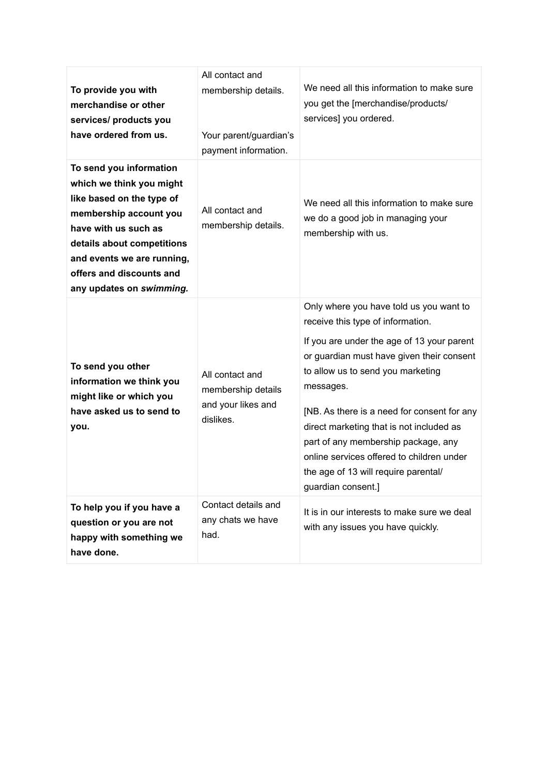| To provide you with<br>merchandise or other<br>services/ products you<br>have ordered from us.                                                                                                                                                         | All contact and<br>membership details.<br>Your parent/guardian's<br>payment information. | We need all this information to make sure<br>you get the [merchandise/products/<br>services] you ordered.                                                                                                                                                                                                                                                                                                                                                              |
|--------------------------------------------------------------------------------------------------------------------------------------------------------------------------------------------------------------------------------------------------------|------------------------------------------------------------------------------------------|------------------------------------------------------------------------------------------------------------------------------------------------------------------------------------------------------------------------------------------------------------------------------------------------------------------------------------------------------------------------------------------------------------------------------------------------------------------------|
| To send you information<br>which we think you might<br>like based on the type of<br>membership account you<br>have with us such as<br>details about competitions<br>and events we are running,<br>offers and discounts and<br>any updates on swimming. | All contact and<br>membership details.                                                   | We need all this information to make sure<br>we do a good job in managing your<br>membership with us.                                                                                                                                                                                                                                                                                                                                                                  |
| To send you other<br>information we think you<br>might like or which you<br>have asked us to send to<br>you.                                                                                                                                           | All contact and<br>membership details<br>and your likes and<br>dislikes.                 | Only where you have told us you want to<br>receive this type of information.<br>If you are under the age of 13 your parent<br>or guardian must have given their consent<br>to allow us to send you marketing<br>messages.<br>[NB. As there is a need for consent for any<br>direct marketing that is not included as<br>part of any membership package, any<br>online services offered to children under<br>the age of 13 will require parental/<br>guardian consent.] |
| To help you if you have a<br>question or you are not<br>happy with something we<br>have done.                                                                                                                                                          | Contact details and<br>any chats we have<br>had.                                         | It is in our interests to make sure we deal<br>with any issues you have quickly.                                                                                                                                                                                                                                                                                                                                                                                       |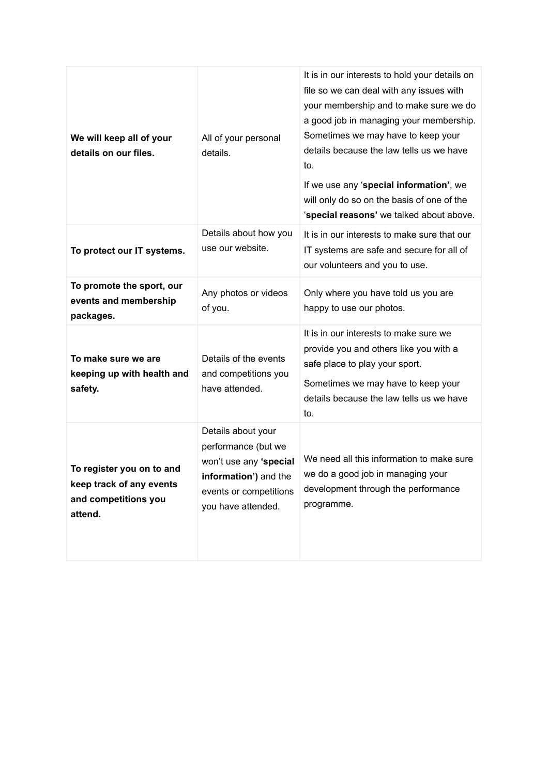| We will keep all of your<br>details on our files.                                        | All of your personal<br>details.                                                                                                             | It is in our interests to hold your details on<br>file so we can deal with any issues with<br>your membership and to make sure we do<br>a good job in managing your membership.<br>Sometimes we may have to keep your<br>details because the law tells us we have<br>to.<br>If we use any 'special information', we<br>will only do so on the basis of one of the<br>'special reasons' we talked about above. |
|------------------------------------------------------------------------------------------|----------------------------------------------------------------------------------------------------------------------------------------------|---------------------------------------------------------------------------------------------------------------------------------------------------------------------------------------------------------------------------------------------------------------------------------------------------------------------------------------------------------------------------------------------------------------|
| To protect our IT systems.                                                               | Details about how you<br>use our website.                                                                                                    | It is in our interests to make sure that our<br>IT systems are safe and secure for all of<br>our volunteers and you to use.                                                                                                                                                                                                                                                                                   |
| To promote the sport, our<br>events and membership<br>packages.                          | Any photos or videos<br>of you.                                                                                                              | Only where you have told us you are<br>happy to use our photos.                                                                                                                                                                                                                                                                                                                                               |
| To make sure we are<br>keeping up with health and<br>safety.                             | Details of the events<br>and competitions you<br>have attended.                                                                              | It is in our interests to make sure we<br>provide you and others like you with a<br>safe place to play your sport.<br>Sometimes we may have to keep your<br>details because the law tells us we have<br>to.                                                                                                                                                                                                   |
| To register you on to and<br>keep track of any events<br>and competitions you<br>attend. | Details about your<br>performance (but we<br>won't use any 'special<br>information') and the<br>events or competitions<br>you have attended. | We need all this information to make sure<br>we do a good job in managing your<br>development through the performance<br>programme.                                                                                                                                                                                                                                                                           |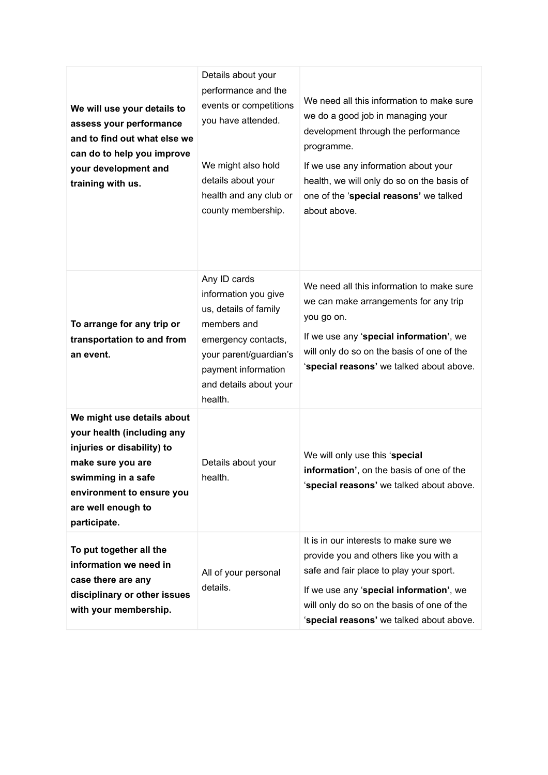| We will use your details to<br>assess your performance<br>and to find out what else we<br>can do to help you improve<br>your development and<br>training with us.                                    | Details about your<br>performance and the<br>events or competitions<br>you have attended.<br>We might also hold<br>details about your<br>health and any club or<br>county membership.     | We need all this information to make sure<br>we do a good job in managing your<br>development through the performance<br>programme.<br>If we use any information about your<br>health, we will only do so on the basis of<br>one of the 'special reasons' we talked<br>about above. |
|------------------------------------------------------------------------------------------------------------------------------------------------------------------------------------------------------|-------------------------------------------------------------------------------------------------------------------------------------------------------------------------------------------|-------------------------------------------------------------------------------------------------------------------------------------------------------------------------------------------------------------------------------------------------------------------------------------|
| To arrange for any trip or<br>transportation to and from<br>an event.                                                                                                                                | Any ID cards<br>information you give<br>us, details of family<br>members and<br>emergency contacts,<br>your parent/guardian's<br>payment information<br>and details about your<br>health. | We need all this information to make sure<br>we can make arrangements for any trip<br>you go on.<br>If we use any 'special information', we<br>will only do so on the basis of one of the<br>'special reasons' we talked about above.                                               |
| We might use details about<br>your health (including any<br>injuries or disability) to<br>make sure you are<br>swimming in a safe<br>environment to ensure you<br>are well enough to<br>participate. | Details about your<br>health.                                                                                                                                                             | We will only use this 'special<br>information', on the basis of one of the<br>'special reasons' we talked about above.                                                                                                                                                              |
| To put together all the<br>information we need in<br>case there are any<br>disciplinary or other issues<br>with your membership.                                                                     | All of your personal<br>details.                                                                                                                                                          | It is in our interests to make sure we<br>provide you and others like you with a<br>safe and fair place to play your sport.<br>If we use any 'special information', we<br>will only do so on the basis of one of the<br>'special reasons' we talked about above.                    |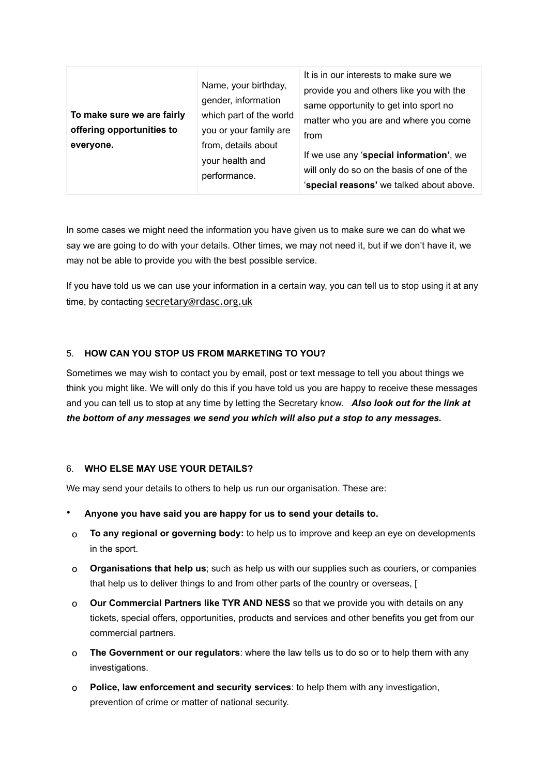|                            | Name, your birthday,<br>gender, information | It is in our interests to make sure we<br>provide you and others like you with the<br>same opportunity to get into sport no |
|----------------------------|---------------------------------------------|-----------------------------------------------------------------------------------------------------------------------------|
| To make sure we are fairly | which part of the world                     |                                                                                                                             |
| offering opportunities to  | you or your family are                      | matter who you are and where you come                                                                                       |
| everyone.                  | from, details about                         | from                                                                                                                        |
|                            | your health and<br>performance.             | If we use any 'special information', we                                                                                     |
|                            |                                             | will only do so on the basis of one of the                                                                                  |
|                            |                                             | 'special reasons' we talked about above.                                                                                    |

In some cases we might need the information you have given us to make sure we can do what we say we are going to do with your details. Other times, we may not need it, but if we don't have it, we may not be able to provide you with the best possible service.

If you have told us we can use your information in a certain way, you can tell us to stop using it at any time, by contacting [secretary@rdasc.org.uk](mailto:secretary@rdasc.org.uk)

## 5. **HOW CAN YOU STOP US FROM MARKETING TO YOU?**

Sometimes we may wish to contact you by email, post or text message to tell you about things we think you might like. We will only do this if you have told us you are happy to receive these messages and you can tell us to stop at any time by letting the Secretary know. *Also look out for the link at the bottom of any messages we send you which will also put a stop to any messages.*

### 6. **WHO ELSE MAY USE YOUR DETAILS?**

We may send your details to others to help us run our organisation. These are:

- **Anyone you have said you are happy for us to send your details to.**
- o **To any regional or governing body:** to help us to improve and keep an eye on developments in the sport.
- o **Organisations that help us**; such as help us with our supplies such as couriers, or companies that help us to deliver things to and from other parts of the country or overseas, [
- o **Our Commercial Partners like TYR AND NESS** so that we provide you with details on any tickets, special offers, opportunities, products and services and other benefits you get from our commercial partners.
- o **The Government or our regulators**: where the law tells us to do so or to help them with any investigations.
- o **Police, law enforcement and security services**: to help them with any investigation, prevention of crime or matter of national security.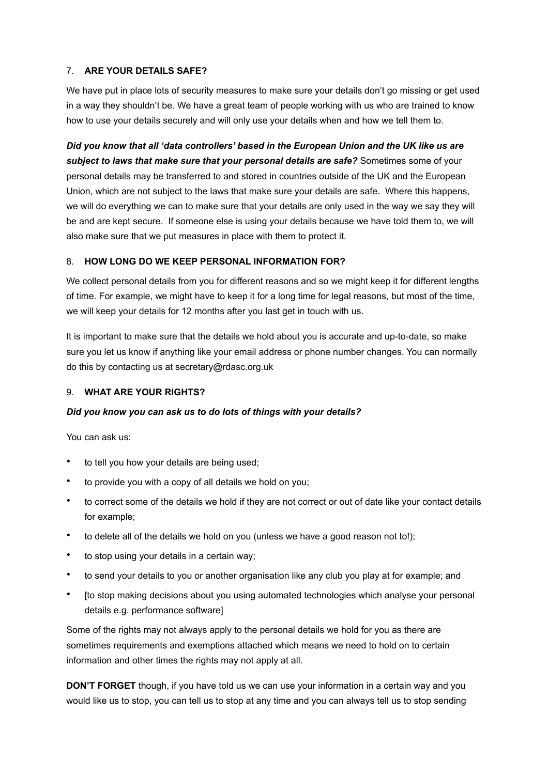## 7. **ARE YOUR DETAILS SAFE?**

We have put in place lots of security measures to make sure your details don't go missing or get used in a way they shouldn't be. We have a great team of people working with us who are trained to know how to use your details securely and will only use your details when and how we tell them to.

*Did you know that all 'data controllers' based in the European Union and the UK like us are subject to laws that make sure that your personal details are safe?* Sometimes some of your personal details may be transferred to and stored in countries outside of the UK and the European Union, which are not subject to the laws that make sure your details are safe. Where this happens, we will do everything we can to make sure that your details are only used in the way we say they will be and are kept secure. If someone else is using your details because we have told them to, we will also make sure that we put measures in place with them to protect it.

# 8. **HOW LONG DO WE KEEP PERSONAL INFORMATION FOR?**

We collect personal details from you for different reasons and so we might keep it for different lengths of time. For example, we might have to keep it for a long time for legal reasons, but most of the time, we will keep your details for 12 months after you last get in touch with us.

It is important to make sure that the details we hold about you is accurate and up-to-date, so make sure you let us know if anything like your email address or phone number changes. You can normally do this by contacting us at secretary@rdasc.org.uk

#### 9. **WHAT ARE YOUR RIGHTS?**

#### *Did you know you can ask us to do lots of things with your details?*

You can ask us:

- to tell you how your details are being used;
- to provide you with a copy of all details we hold on you;
- to correct some of the details we hold if they are not correct or out of date like your contact details for example;
- to delete all of the details we hold on you (unless we have a good reason not to!);
- to stop using your details in a certain way;
- to send your details to you or another organisation like any club you play at for example; and
- [to stop making decisions about you using automated technologies which analyse your personal details e.g. performance software]

Some of the rights may not always apply to the personal details we hold for you as there are sometimes requirements and exemptions attached which means we need to hold on to certain information and other times the rights may not apply at all.

**DON'T FORGET** though, if you have told us we can use your information in a certain way and you would like us to stop, you can tell us to stop at any time and you can always tell us to stop sending